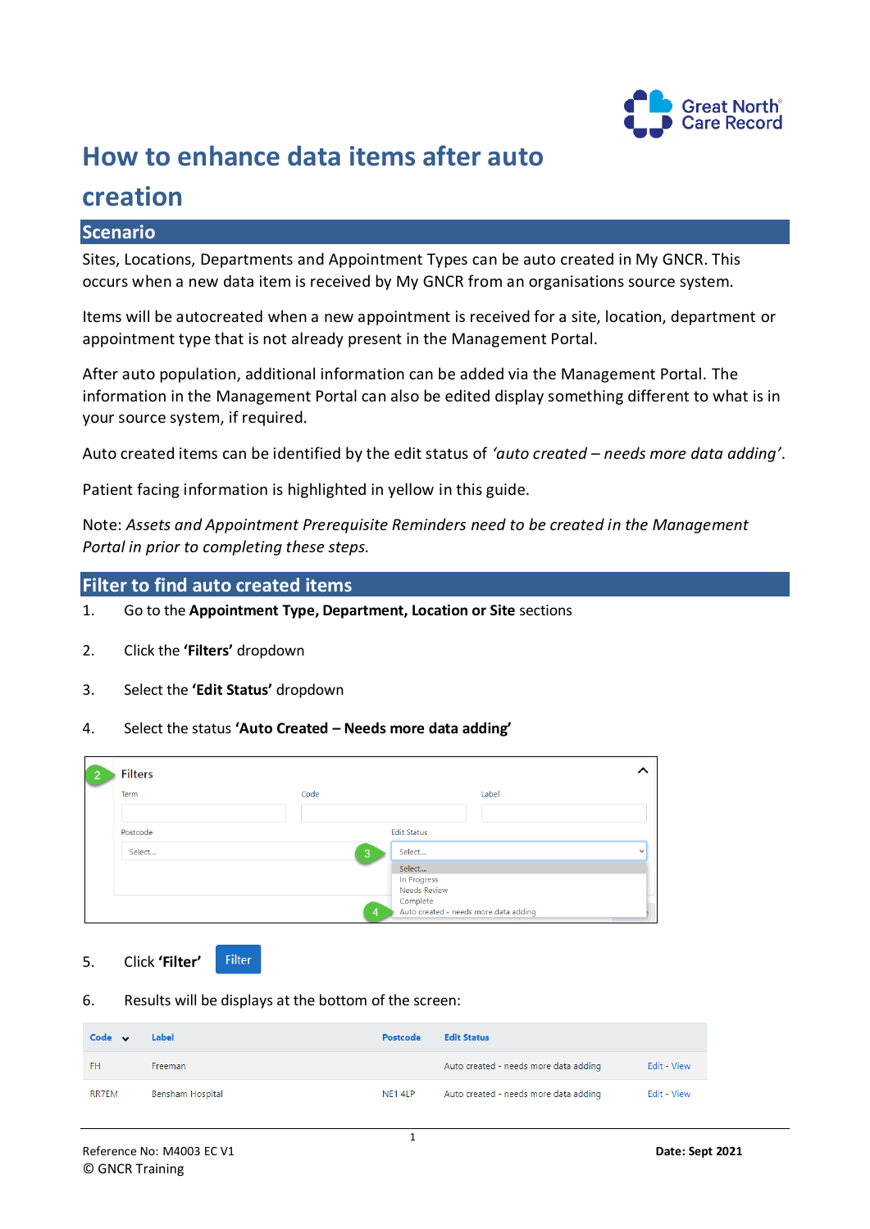

# **How to enhance data items after auto**

## **creation**

## **Scenario**

Sites, Locations, Departments and Appointment Types can be auto created in My GNCR. This occurs when a new data item is received by My GNCR from an organisations source system.

Items will be autocreated when a new appointment is received for a site, location, department or appointment type that is not already present in the Management Portal.

After auto population, additional information can be added via the Management Portal. The information in the Management Portal can also be edited display something different to what is in your source system, if required.

Auto created items can be identified by the edit status of *'auto created – needs more data adding'*.

Patient facing information is highlighted in yellow in this guide.

Note: *Assets and Appointment Prerequisite Reminders need to be created in the Management Portal in prior to completing these steps.* 

## **Filter to find auto created items**

- 1. Go to the **Appointment Type, Department, Location or Site** sections
- 2. Click the **'Filters'** dropdown
- 3. Select the **'Edit Status'** dropdown
- 4. Select the status **'Auto Created – Needs more data adding'**

| $\overline{2}$ | <b>Filters</b> |      |                                                   |       |              |
|----------------|----------------|------|---------------------------------------------------|-------|--------------|
|                | Term           | Code |                                                   | Label |              |
|                |                |      |                                                   |       |              |
|                | Postcode       |      | <b>Edit Status</b>                                |       |              |
|                | Select         | З    | Select                                            |       | $\checkmark$ |
|                |                |      | Select                                            |       |              |
|                |                |      | In Progress                                       |       |              |
|                |                |      | <b>Needs Review</b>                               |       |              |
|                |                | 4    | Complete<br>Auto created - needs more data adding |       |              |

- 5. Click **'Filter'** Filter
- 6. Results will be displays at the bottom of the screen:

| Code $\mathbf{\cdot}$ | Label                   | Postcode | <b>Edit Status</b>                    |             |
|-----------------------|-------------------------|----------|---------------------------------------|-------------|
| <b>FH</b>             | Freeman                 |          | Auto created - needs more data adding | Edit - View |
| <b>RR7EM</b>          | <b>Bensham Hospital</b> | NE1 4LP  | Auto created - needs more data adding | Edit - View |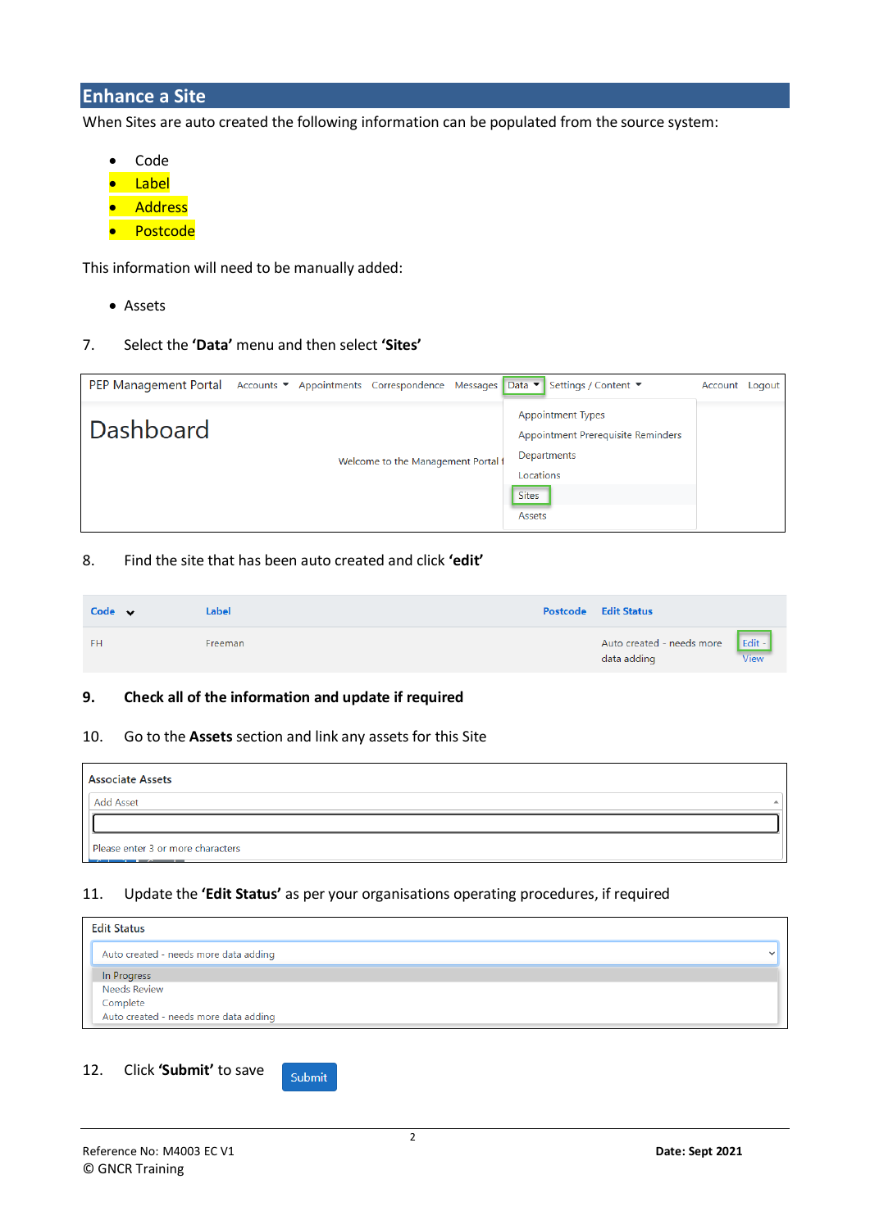## **Enhance a Site**

When Sites are auto created the following information can be populated from the source system:

- Code
- Label
- Address
- Postcode

This information will need to be manually added:

- Assets
- 7. Select the **'Data'** menu and then select **'Sites'**

| <b>PEP Management Portal</b> | Accounts ▼ Appointments Correspondence Messages Data ▼ |                                    | Settings / Content ▼                                                                                                 | Account Logout |  |
|------------------------------|--------------------------------------------------------|------------------------------------|----------------------------------------------------------------------------------------------------------------------|----------------|--|
| Dashboard                    |                                                        | Welcome to the Management Portal f | <b>Appointment Types</b><br>Appointment Prerequisite Reminders<br>Departments<br>Locations<br><b>Sites</b><br>Assets |                |  |

## 8. Find the site that has been auto created and click **'edit'**

| Code $\vee$ | Label          | <b>Postcode</b> Edit Status                         |      |
|-------------|----------------|-----------------------------------------------------|------|
| <b>FH</b>   | <b>Freeman</b> | Auto created - needs more   Edit -  <br>data adding | View |

#### **9. Check all of the information and update if required**

## 10. Go to the **Assets** section and link any assets for this Site

Submit

| <b>Associate Assets</b>           |  |
|-----------------------------------|--|
| Add Asset                         |  |
|                                   |  |
| Please enter 3 or more characters |  |

## 11. Update the **'Edit Status'** as per your organisations operating procedures, if required

| <b>Edit Status</b>                    |              |  |  |
|---------------------------------------|--------------|--|--|
| Auto created - needs more data adding | $\checkmark$ |  |  |
| In Progress                           |              |  |  |
| Needs Review                          |              |  |  |
| Complete                              |              |  |  |
| Auto created - needs more data adding |              |  |  |

## 12. Click **'Submit'** to save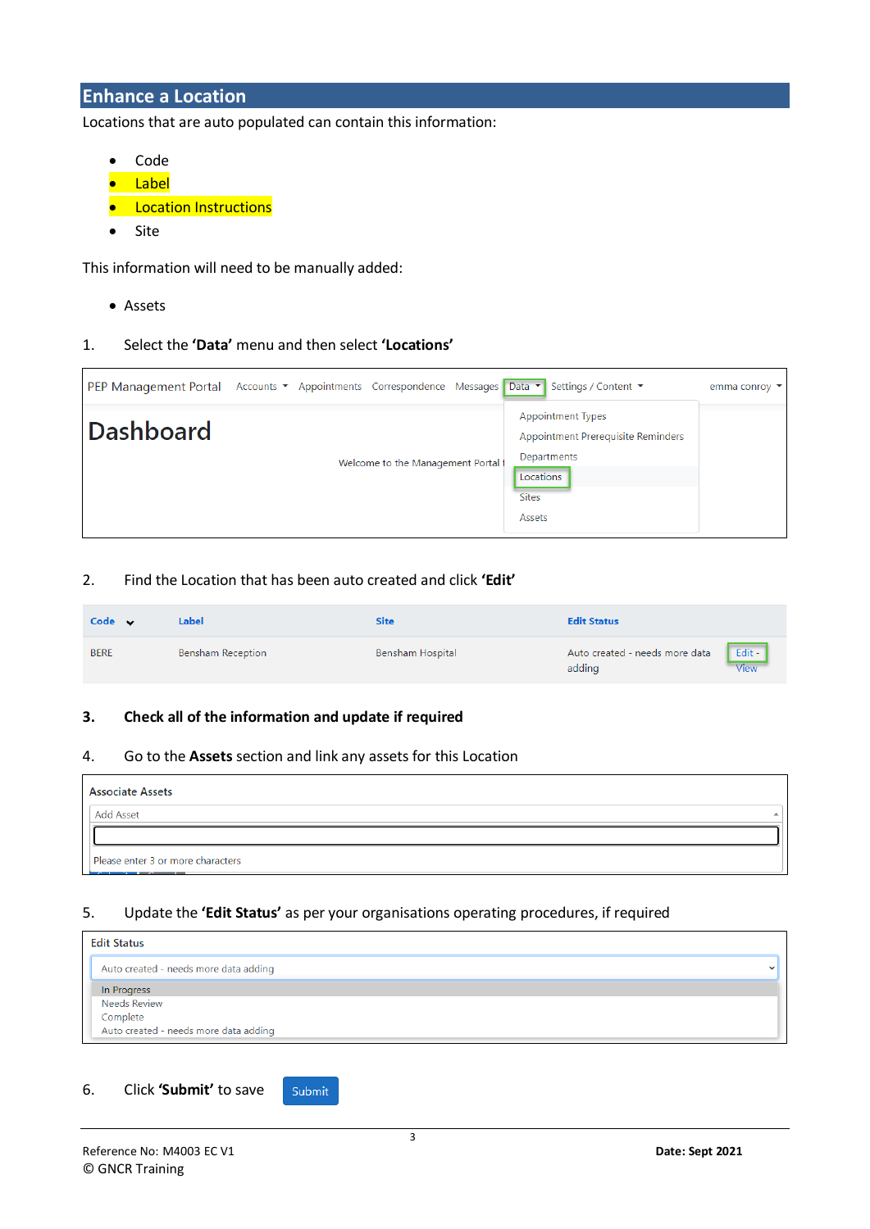## **Enhance a Location**

Locations that are auto populated can contain this information:

- Code
- Label
- **•** Location Instructions
- Site

This information will need to be manually added:

- Assets
- 1. Select the **'Data'** menu and then select **'Locations'**

| Accounts ▼ Appointments Correspondence Messages Data ▼ Settings / Content ▼<br>PEP Management Portal |                                                                                                                      | emma conroy $\blacktriangleright$ |
|------------------------------------------------------------------------------------------------------|----------------------------------------------------------------------------------------------------------------------|-----------------------------------|
| Dashboard<br>Welcome to the Management Portal t                                                      | <b>Appointment Types</b><br>Appointment Prerequisite Reminders<br>Departments<br>Locations<br><b>Sites</b><br>Assets |                                   |

2. Find the Location that has been auto created and click **'Edit'**

| Code $\vee$ | Label             | Site             | <b>Edit Status</b>                                                |
|-------------|-------------------|------------------|-------------------------------------------------------------------|
| <b>BERE</b> | Bensham Reception | Bensham Hospital | Edit -<br>Auto created - needs more data<br><b>View</b><br>adding |

#### **3. Check all of the information and update if required**

#### 4. Go to the **Assets** section and link any assets for this Location

Submit

| <b>Associate Assets</b>           |  |
|-----------------------------------|--|
| Add Asset                         |  |
|                                   |  |
| Please enter 3 or more characters |  |

## 5. Update the **'Edit Status'** as per your organisations operating procedures, if required

| <b>Edit Status</b>                    |  |  |  |  |
|---------------------------------------|--|--|--|--|
| Auto created - needs more data adding |  |  |  |  |
| In Progress                           |  |  |  |  |
| <b>Needs Review</b>                   |  |  |  |  |
| Complete                              |  |  |  |  |
| Auto created - needs more data adding |  |  |  |  |
|                                       |  |  |  |  |

## 6. Click **'Submit'** to save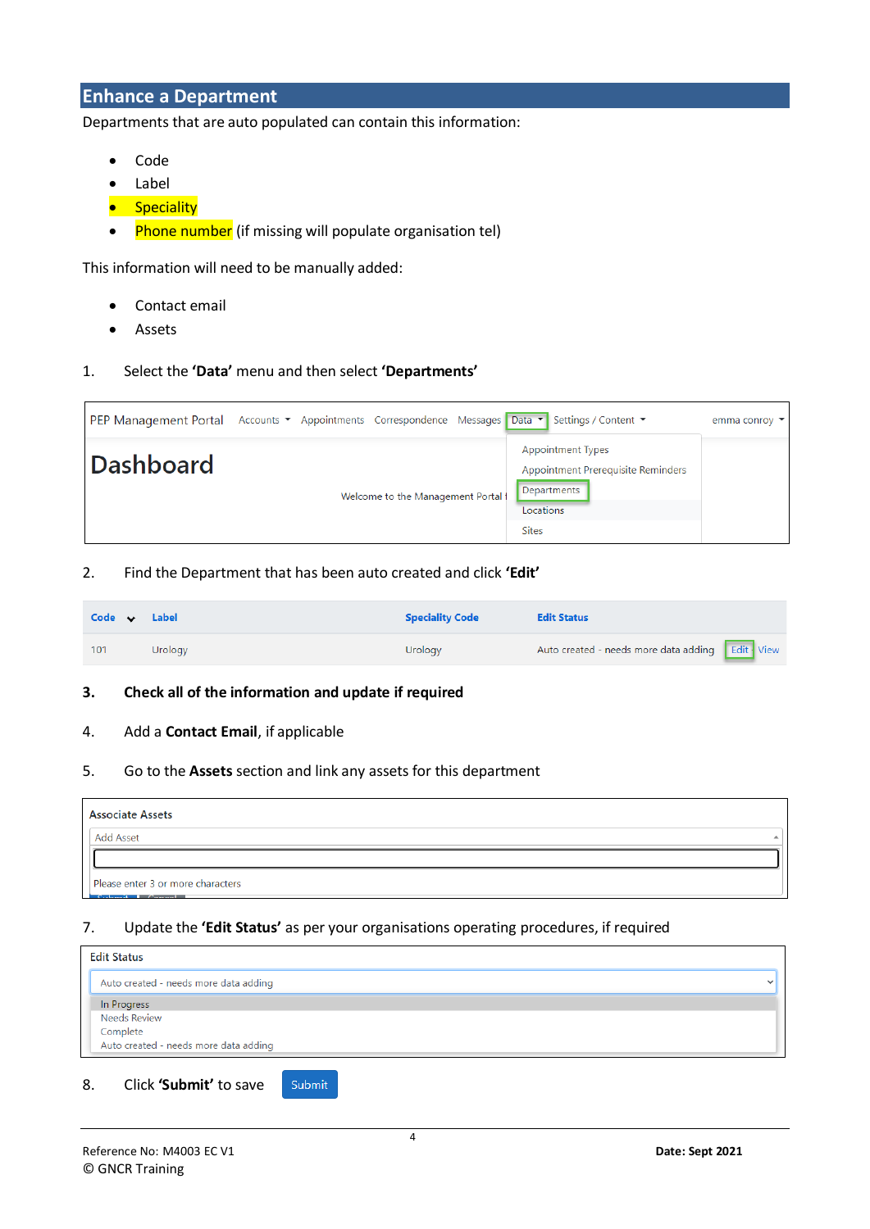## **Enhance a Department**

Departments that are auto populated can contain this information:

- Code
- Label
- Speciality
- Phone number (if missing will populate organisation tel)

This information will need to be manually added:

- Contact email
- Assets
- 1. Select the **'Data'** menu and then select **'Departments'**

| Dashboard<br>Departments<br>Welcome to the Management Portal f<br>Locations<br><b>Sites</b> | <b>Appointment Types</b><br>Appointment Prerequisite Reminders |  |
|---------------------------------------------------------------------------------------------|----------------------------------------------------------------|--|

2. Find the Department that has been auto created and click **'Edit'**

| Code $\vee$ Label |         | <b>Speciality Code</b> | <b>Edit Status</b>                              |
|-------------------|---------|------------------------|-------------------------------------------------|
| 101               | Uroloav | Urology                | Auto created - needs more data adding Edit View |

#### **3. Check all of the information and update if required**

- 4. Add a **Contact Email**, if applicable
- 5. Go to the **Assets** section and link any assets for this department

| <b>Associate Assets</b>                                  |  |
|----------------------------------------------------------|--|
| <b>Add Asset</b>                                         |  |
|                                                          |  |
| Please enter 3 or more characters<br>$Cother + Cgeneral$ |  |

## 7. Update the **'Edit Status'** as per your organisations operating procedures, if required

| <b>Edit Status</b>                                                               |  |
|----------------------------------------------------------------------------------|--|
| Auto created - needs more data adding                                            |  |
| In Progress<br>Needs Review<br>Complete<br>Auto created - needs more data adding |  |
|                                                                                  |  |

8. Click **'Submit'** to save Submit